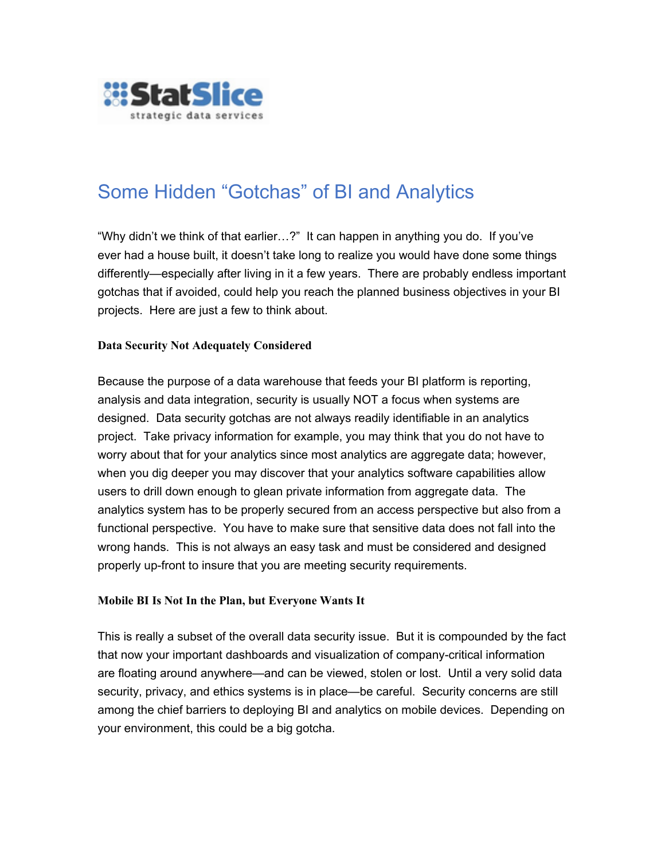

# Some Hidden "Gotchas" of BI and Analytics

"Why didn't we think of that earlier…?" It can happen in anything you do. If you've ever had a house built, it doesn't take long to realize you would have done some things differently—especially after living in it a few years. There are probably endless important gotchas that if avoided, could help you reach the planned business objectives in your BI projects. Here are just a few to think about.

### **Data Security Not Adequately Considered**

Because the purpose of a data warehouse that feeds your BI platform is reporting, analysis and data integration, security is usually NOT a focus when systems are designed. Data security gotchas are not always readily identifiable in an analytics project. Take privacy information for example, you may think that you do not have to worry about that for your analytics since most analytics are aggregate data; however, when you dig deeper you may discover that your analytics software capabilities allow users to drill down enough to glean private information from aggregate data. The analytics system has to be properly secured from an access perspective but also from a functional perspective. You have to make sure that sensitive data does not fall into the wrong hands. This is not always an easy task and must be considered and designed properly up-front to insure that you are meeting security requirements.

# **Mobile BI Is Not In the Plan, but Everyone Wants It**

This is really a subset of the overall data security issue. But it is compounded by the fact that now your important dashboards and visualization of company-critical information are floating around anywhere—and can be viewed, stolen or lost. Until a very solid data security, privacy, and ethics systems is in place—be careful. Security concerns are still among the chief barriers to deploying BI and analytics on mobile devices. Depending on your environment, this could be a big gotcha.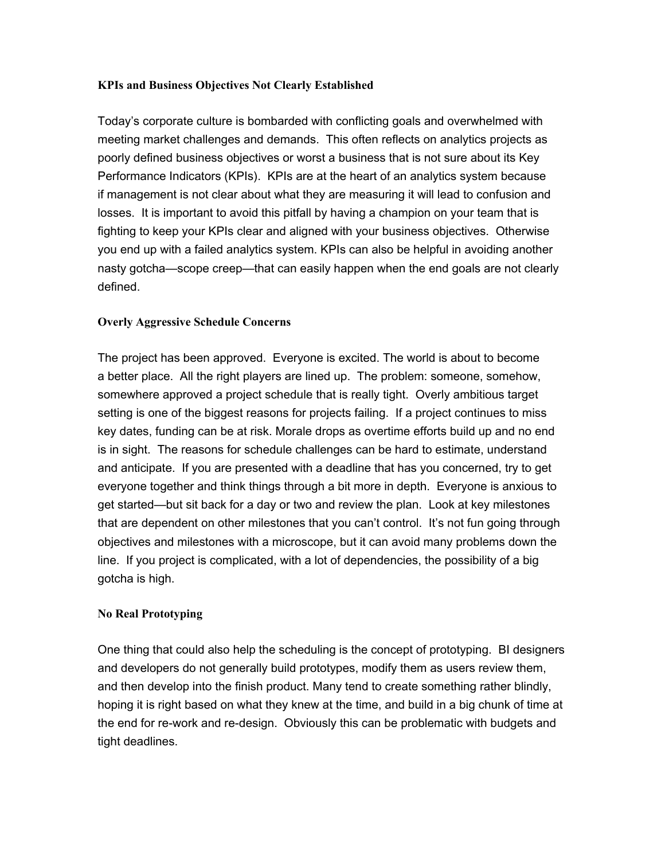## **KPIs and Business Objectives Not Clearly Established**

Today's corporate culture is bombarded with conflicting goals and overwhelmed with meeting market challenges and demands. This often reflects on analytics projects as poorly defined business objectives or worst a business that is not sure about its Key Performance Indicators (KPIs). KPIs are at the heart of an analytics system because if management is not clear about what they are measuring it will lead to confusion and losses. It is important to avoid this pitfall by having a champion on your team that is fighting to keep your KPIs clear and aligned with your business objectives. Otherwise you end up with a failed analytics system. KPIs can also be helpful in avoiding another nasty gotcha—scope creep—that can easily happen when the end goals are not clearly defined.

### **Overly Aggressive Schedule Concerns**

The project has been approved. Everyone is excited. The world is about to become a better place. All the right players are lined up. The problem: someone, somehow, somewhere approved a project schedule that is really tight. Overly ambitious target setting is one of the biggest reasons for projects failing. If a project continues to miss key dates, funding can be at risk. Morale drops as overtime efforts build up and no end is in sight. The reasons for schedule challenges can be hard to estimate, understand and anticipate. If you are presented with a deadline that has you concerned, try to get everyone together and think things through a bit more in depth. Everyone is anxious to get started—but sit back for a day or two and review the plan. Look at key milestones that are dependent on other milestones that you can't control. It's not fun going through objectives and milestones with a microscope, but it can avoid many problems down the line. If you project is complicated, with a lot of dependencies, the possibility of a big gotcha is high.

# **No Real Prototyping**

One thing that could also help the scheduling is the concept of prototyping. BI designers and developers do not generally build prototypes, modify them as users review them, and then develop into the finish product. Many tend to create something rather blindly, hoping it is right based on what they knew at the time, and build in a big chunk of time at the end for re-work and re-design. Obviously this can be problematic with budgets and tight deadlines.